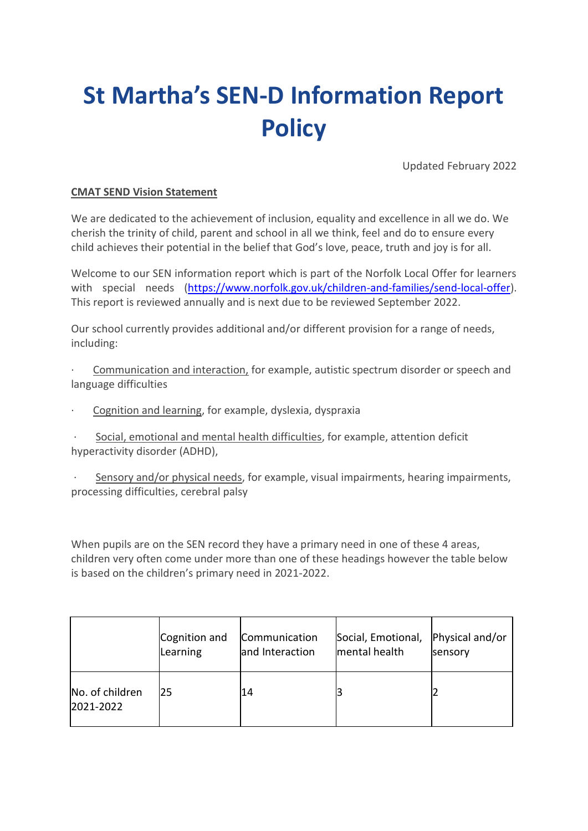# **St Martha's SEN-D Information Report Policy**

Updated February 2022

# **CMAT SEND Vision Statement**

We are dedicated to the achievement of inclusion, equality and excellence in all we do. We cherish the trinity of child, parent and school in all we think, feel and do to ensure every child achieves their potential in the belief that God's love, peace, truth and joy is for all.

Welcome to our SEN information report which is part of the Norfolk Local Offer for learners with special needs [\(https://www.norfolk.gov.uk/children-and-families/send-local-offer\)](https://www.norfolk.gov.uk/children-and-families/send-local-offer). This report is reviewed annually and is next due to be reviewed September 2022.

Our school currently provides additional and/or different provision for a range of needs, including:

Communication and interaction, for example, autistic spectrum disorder or speech and language difficulties

Cognition and learning, for example, dyslexia, dyspraxia

Social, emotional and mental health difficulties, for example, attention deficit hyperactivity disorder (ADHD),

Sensory and/or physical needs, for example, visual impairments, hearing impairments, processing difficulties, cerebral palsy

When pupils are on the SEN record they have a primary need in one of these 4 areas, children very often come under more than one of these headings however the table below is based on the children's primary need in 2021-2022.

|                              | Cognition and | Communication   | Social, Emotional, | Physical and/or |
|------------------------------|---------------|-----------------|--------------------|-----------------|
|                              | Learning      | and Interaction | mental health      | sensory         |
| No. of children<br>2021-2022 | 25            | 14              |                    |                 |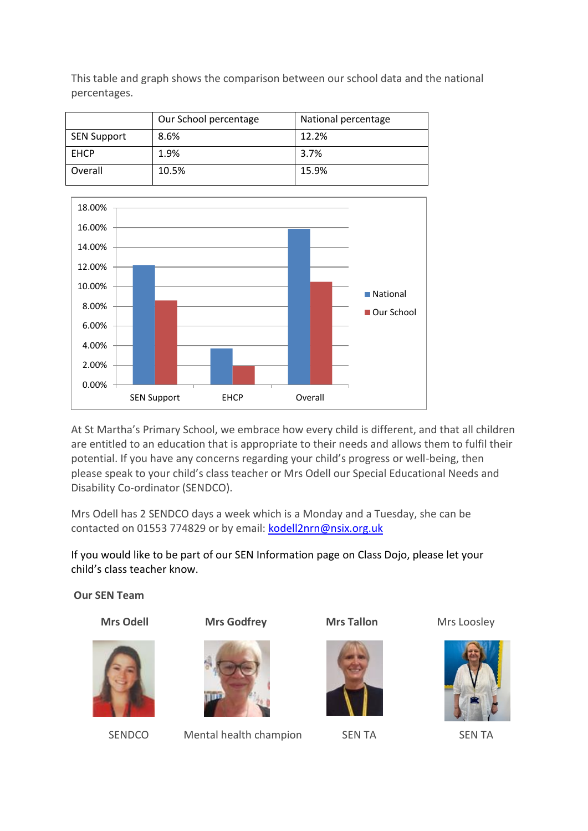This table and graph shows the comparison between our school data and the national percentages.

|                    | Our School percentage | National percentage |
|--------------------|-----------------------|---------------------|
| <b>SEN Support</b> | 8.6%                  | 12.2%               |
| <b>EHCP</b>        | 1.9%                  | 3.7%                |
| Overall            | 10.5%                 | 15.9%               |



At St Martha's Primary School, we embrace how every child is different, and that all children are entitled to an education that is appropriate to their needs and allows them to fulfil their potential. If you have any concerns regarding your child's progress or well-being, then please speak to your child's class teacher or Mrs Odell our Special Educational Needs and Disability Co-ordinator (SENDCO).

Mrs Odell has 2 SENDCO days a week which is a Monday and a Tuesday, she can be contacted on 01553 774829 or by email: [kodell2nrn@nsix.org.uk](mailto:kodell2nrn@nsix.org.uk)

If you would like to be part of our SEN Information page on Class Dojo, please let your child's class teacher know.

**Our SEN Team** 



**Mrs Odell Mrs Godfrey Mrs Tallon Mrs Loosley** 



SENDCO Mental health champion SEN TA SEN TA



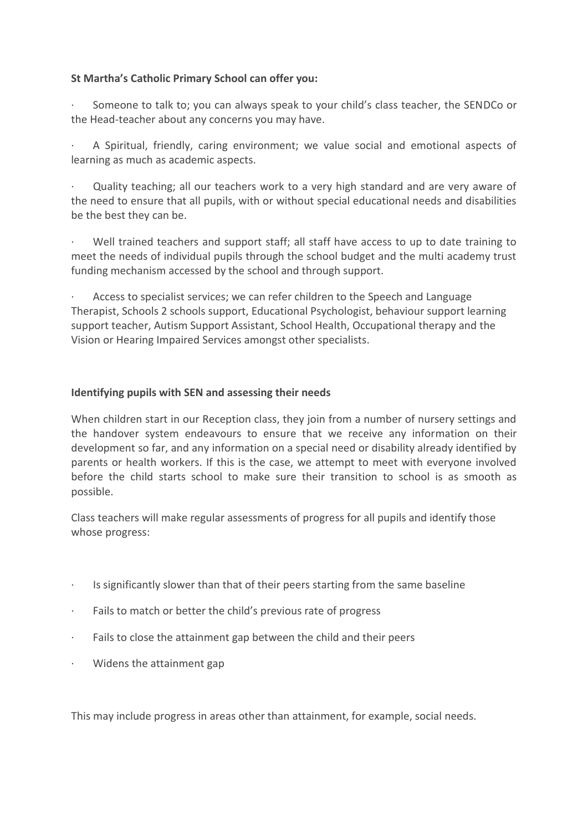# **St Martha's Catholic Primary School can offer you:**

Someone to talk to; you can always speak to your child's class teacher, the SENDCo or the Head-teacher about any concerns you may have.

A Spiritual, friendly, caring environment; we value social and emotional aspects of learning as much as academic aspects.

Quality teaching; all our teachers work to a very high standard and are very aware of the need to ensure that all pupils, with or without special educational needs and disabilities be the best they can be.

Well trained teachers and support staff; all staff have access to up to date training to meet the needs of individual pupils through the school budget and the multi academy trust funding mechanism accessed by the school and through support.

Access to specialist services; we can refer children to the Speech and Language Therapist, Schools 2 schools support, Educational Psychologist, behaviour support learning support teacher, Autism Support Assistant, School Health, Occupational therapy and the Vision or Hearing Impaired Services amongst other specialists.

# **Identifying pupils with SEN and assessing their needs**

When children start in our Reception class, they join from a number of nursery settings and the handover system endeavours to ensure that we receive any information on their development so far, and any information on a special need or disability already identified by parents or health workers. If this is the case, we attempt to meet with everyone involved before the child starts school to make sure their transition to school is as smooth as possible.

Class teachers will make regular assessments of progress for all pupils and identify those whose progress:

- Is significantly slower than that of their peers starting from the same baseline
- · Fails to match or better the child's previous rate of progress
- · Fails to close the attainment gap between the child and their peers
- · Widens the attainment gap

This may include progress in areas other than attainment, for example, social needs.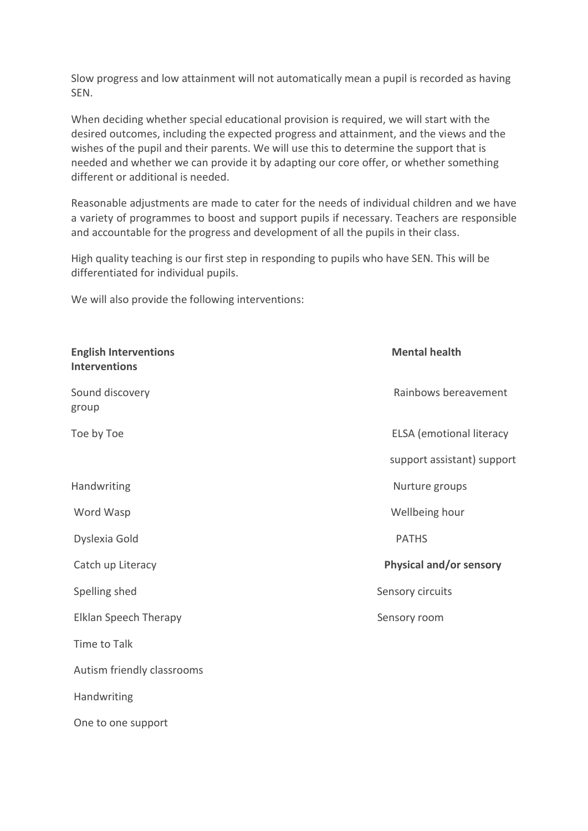Slow progress and low attainment will not automatically mean a pupil is recorded as having SEN.

When deciding whether special educational provision is required, we will start with the desired outcomes, including the expected progress and attainment, and the views and the wishes of the pupil and their parents. We will use this to determine the support that is needed and whether we can provide it by adapting our core offer, or whether something different or additional is needed.

Reasonable adjustments are made to cater for the needs of individual children and we have a variety of programmes to boost and support pupils if necessary. Teachers are responsible and accountable for the progress and development of all the pupils in their class.

High quality teaching is our first step in responding to pupils who have SEN. This will be differentiated for individual pupils.

We will also provide the following interventions:

| <b>English Interventions</b><br><b>Interventions</b> | <b>Mental health</b>            |
|------------------------------------------------------|---------------------------------|
| Sound discovery<br>group                             | Rainbows bereavement            |
| Toe by Toe                                           | <b>ELSA</b> (emotional literacy |
|                                                      | support assistant) support      |
| Handwriting                                          | Nurture groups                  |
| Word Wasp                                            | Wellbeing hour                  |
| Dyslexia Gold                                        | <b>PATHS</b>                    |
| Catch up Literacy                                    | Physical and/or sensory         |
| Spelling shed                                        | Sensory circuits                |
| <b>Elklan Speech Therapy</b>                         | Sensory room                    |
| Time to Talk                                         |                                 |
| Autism friendly classrooms                           |                                 |
| Handwriting                                          |                                 |
| One to one support                                   |                                 |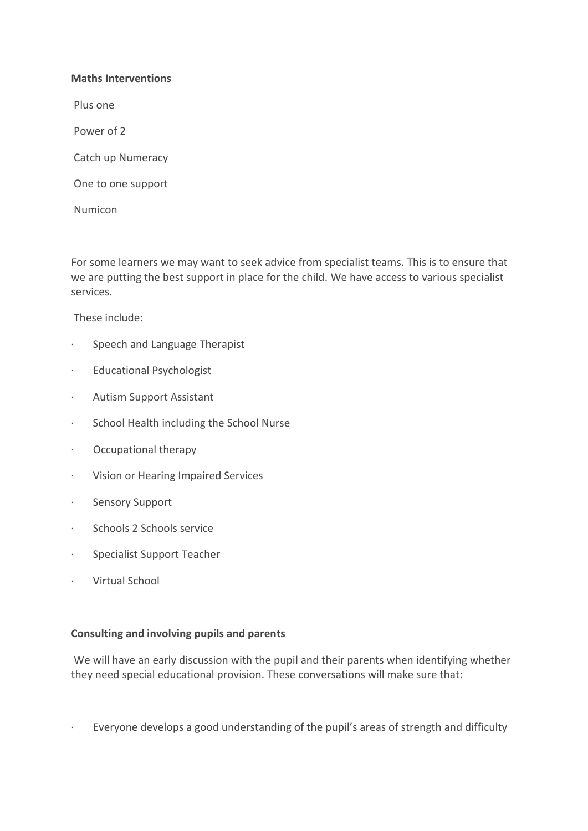# **Maths Interventions**

Plus one

Power of 2

Catch up Numeracy

One to one support

Numicon

For some learners we may want to seek advice from specialist teams. This is to ensure that we are putting the best support in place for the child. We have access to various specialist services.

These include:

- · Speech and Language Therapist
- · Educational Psychologist
- · Autism Support Assistant
- · School Health including the School Nurse
- · Occupational therapy
- · Vision or Hearing Impaired Services
- · Sensory Support
- · Schools 2 Schools service
- · Specialist Support Teacher
- · Virtual School

# **Consulting and involving pupils and parents**

We will have an early discussion with the pupil and their parents when identifying whether they need special educational provision. These conversations will make sure that:

· Everyone develops a good understanding of the pupil's areas of strength and difficulty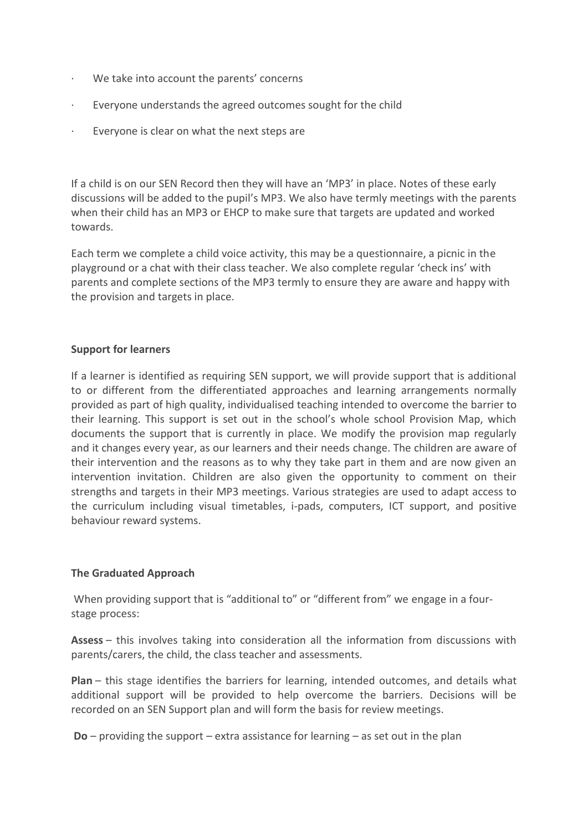- We take into account the parents' concerns
- · Everyone understands the agreed outcomes sought for the child
- · Everyone is clear on what the next steps are

If a child is on our SEN Record then they will have an 'MP3' in place. Notes of these early discussions will be added to the pupil's MP3. We also have termly meetings with the parents when their child has an MP3 or EHCP to make sure that targets are updated and worked towards.

Each term we complete a child voice activity, this may be a questionnaire, a picnic in the playground or a chat with their class teacher. We also complete regular 'check ins' with parents and complete sections of the MP3 termly to ensure they are aware and happy with the provision and targets in place.

# **Support for learners**

If a learner is identified as requiring SEN support, we will provide support that is additional to or different from the differentiated approaches and learning arrangements normally provided as part of high quality, individualised teaching intended to overcome the barrier to their learning. This support is set out in the school's whole school Provision Map, which documents the support that is currently in place. We modify the provision map regularly and it changes every year, as our learners and their needs change. The children are aware of their intervention and the reasons as to why they take part in them and are now given an intervention invitation. Children are also given the opportunity to comment on their strengths and targets in their MP3 meetings. Various strategies are used to adapt access to the curriculum including visual timetables, i-pads, computers, ICT support, and positive behaviour reward systems.

# **The Graduated Approach**

When providing support that is "additional to" or "different from" we engage in a fourstage process:

**Assess** – this involves taking into consideration all the information from discussions with parents/carers, the child, the class teacher and assessments.

**Plan** – this stage identifies the barriers for learning, intended outcomes, and details what additional support will be provided to help overcome the barriers. Decisions will be recorded on an SEN Support plan and will form the basis for review meetings.

**Do** – providing the support – extra assistance for learning – as set out in the plan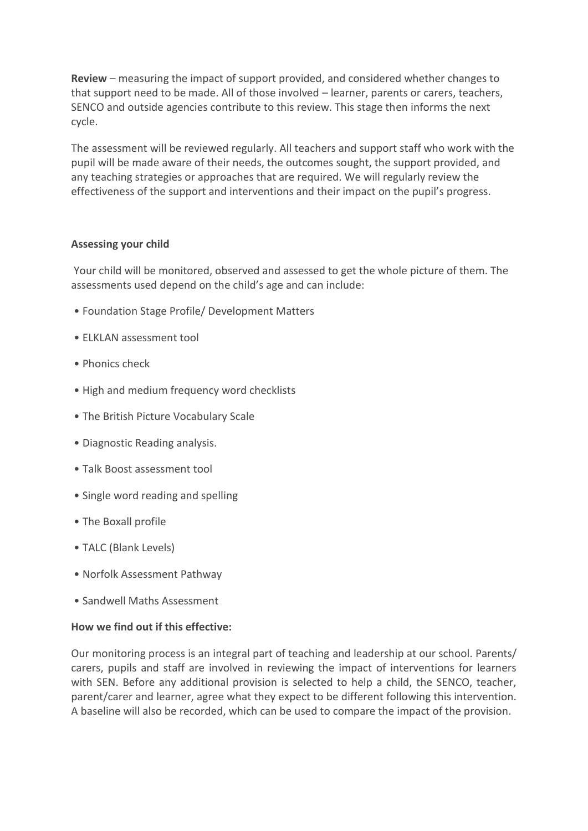**Review** – measuring the impact of support provided, and considered whether changes to that support need to be made. All of those involved – learner, parents or carers, teachers, SENCO and outside agencies contribute to this review. This stage then informs the next cycle.

The assessment will be reviewed regularly. All teachers and support staff who work with the pupil will be made aware of their needs, the outcomes sought, the support provided, and any teaching strategies or approaches that are required. We will regularly review the effectiveness of the support and interventions and their impact on the pupil's progress.

# **Assessing your child**

Your child will be monitored, observed and assessed to get the whole picture of them. The assessments used depend on the child's age and can include:

- Foundation Stage Profile/ Development Matters
- ELKLAN assessment tool
- Phonics check
- High and medium frequency word checklists
- The British Picture Vocabulary Scale
- Diagnostic Reading analysis.
- Talk Boost assessment tool
- Single word reading and spelling
- The Boxall profile
- TALC (Blank Levels)
- Norfolk Assessment Pathway
- Sandwell Maths Assessment

#### **How we find out if this effective:**

Our monitoring process is an integral part of teaching and leadership at our school. Parents/ carers, pupils and staff are involved in reviewing the impact of interventions for learners with SEN. Before any additional provision is selected to help a child, the SENCO, teacher, parent/carer and learner, agree what they expect to be different following this intervention. A baseline will also be recorded, which can be used to compare the impact of the provision.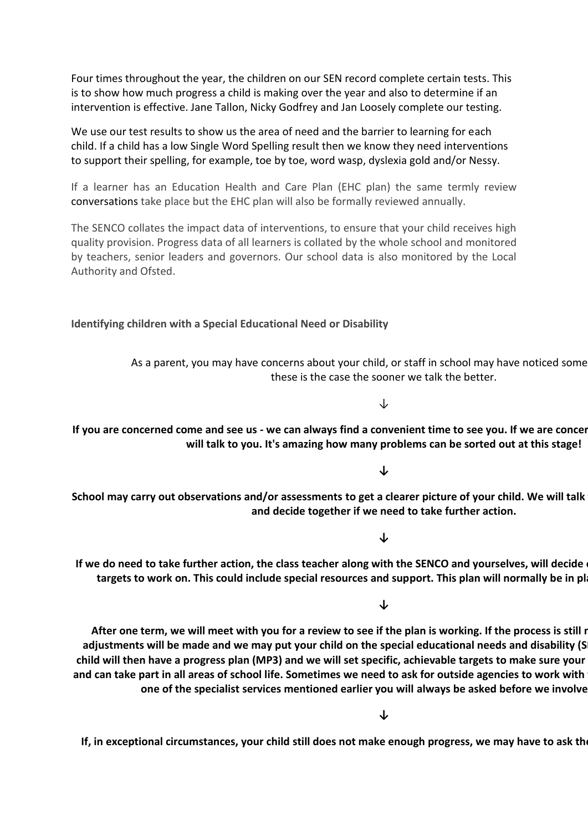Four times throughout the year, the children on our SEN record complete certain tests. This is to show how much progress a child is making over the year and also to determine if an intervention is effective. Jane Tallon, Nicky Godfrey and Jan Loosely complete our testing.

We use our test results to show us the area of need and the barrier to learning for each child. If a child has a low Single Word Spelling result then we know they need interventions to support their spelling, for example, toe by toe, word wasp, dyslexia gold and/or Nessy.

If a learner has an Education Health and Care Plan (EHC plan) the same termly review conversations take place but the EHC plan will also be formally reviewed annually.

The SENCO collates the impact data of interventions, to ensure that your child receives high quality provision. Progress data of all learners is collated by the whole school and monitored by teachers, senior leaders and governors. Our school data is also monitored by the Local Authority and Ofsted.

**Identifying children with a Special Educational Need or Disability**

As a parent, you may have concerns about your child, or staff in school may have noticed some these is the case the sooner we talk the better.

↓

If you are concerned come and see us - we can always find a convenient time to see you. If we are concerned, the concerned  $\alpha$ **will talk to you. It's amazing how many problems can be sorted out at this stage!**

**↓**

School may carry out observations and/or assessments to get a clearer picture of your child. We will talk **and decide together if we need to take further action.**

**↓**

If we do need to take further action, the class teacher along with the SENCO and yourselves, will decide targets to work on. This could include special resources and support. This plan will normally be in pl

**↓**

After one term, we will meet with you for a review to see if the plan is working. If the process is still r adjustments will be made and we may put your child on the special educational needs and disability (S **child will then have a progress plan (MP3) and we will set specific, achievable targets to make sure your child makes progress**  and can take part in all areas of school life. Sometimes we need to ask for outside agencies to work with **one of the specialist services mentioned earlier you will always be asked before we involve anyone**

**↓**

If, in exceptional circumstances, your child still does not make enough progress, we may have to ask the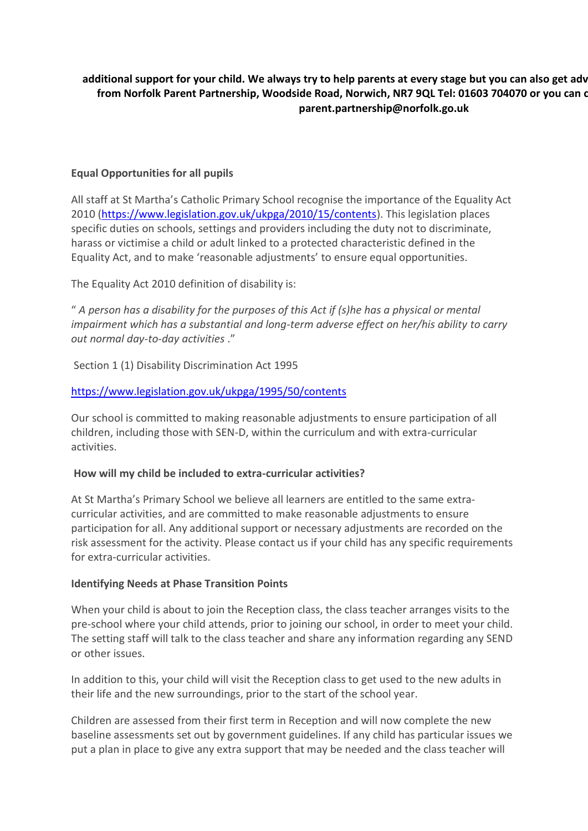# additional support for your child. We always try to help parents at every stage but you can also get adv from Norfolk Parent Partnership, Woodside Road, Norwich, NR7 9QL Tel: 01603 704070 or you can c **parent.partnership@norfolk.go.uk**

# **Equal Opportunities for all pupils**

All staff at St Martha's Catholic Primary School recognise the importance of the Equality Act 2010 [\(https://www.legislation.gov.uk/ukpga/2010/15/contents\)](https://www.legislation.gov.uk/ukpga/2010/15/contents). This legislation places specific duties on schools, settings and providers including the duty not to discriminate, harass or victimise a child or adult linked to a protected characteristic defined in the Equality Act, and to make 'reasonable adjustments' to ensure equal opportunities.

The Equality Act 2010 definition of disability is:

" *A person has a disability for the purposes of this Act if (s)he has a physical or mental impairment which has a substantial and long-term adverse effect on her/his ability to carry out normal day-to-day activities* ."

Section 1 (1) Disability Discrimination Act 1995

# <https://www.legislation.gov.uk/ukpga/1995/50/contents>

Our school is committed to making reasonable adjustments to ensure participation of all children, including those with SEN-D, within the curriculum and with extra-curricular activities.

# **How will my child be included to extra-curricular activities?**

At St Martha's Primary School we believe all learners are entitled to the same extracurricular activities, and are committed to make reasonable adjustments to ensure participation for all. Any additional support or necessary adjustments are recorded on the risk assessment for the activity. Please contact us if your child has any specific requirements for extra-curricular activities.

# **Identifying Needs at Phase Transition Points**

When your child is about to join the Reception class, the class teacher arranges visits to the pre-school where your child attends, prior to joining our school, in order to meet your child. The setting staff will talk to the class teacher and share any information regarding any SEND or other issues.

In addition to this, your child will visit the Reception class to get used to the new adults in their life and the new surroundings, prior to the start of the school year.

Children are assessed from their first term in Reception and will now complete the new baseline assessments set out by government guidelines. If any child has particular issues we put a plan in place to give any extra support that may be needed and the class teacher will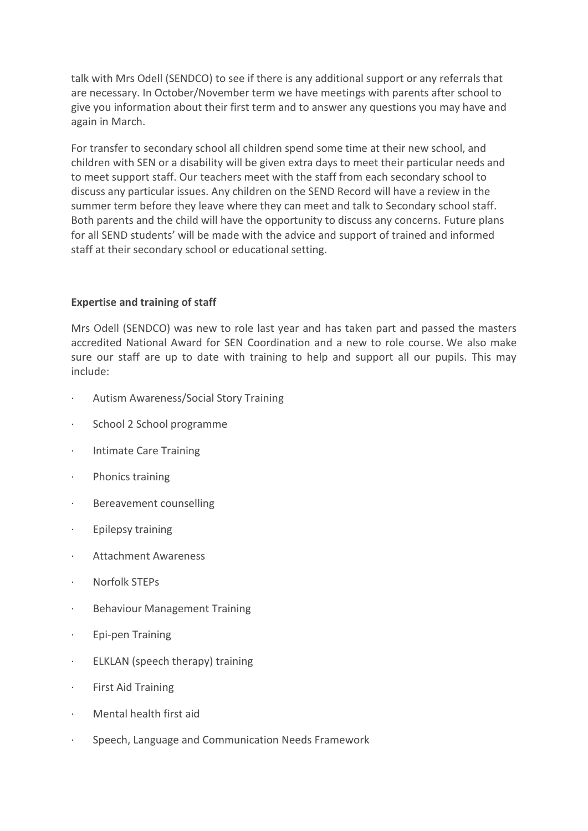talk with Mrs Odell (SENDCO) to see if there is any additional support or any referrals that are necessary. In October/November term we have meetings with parents after school to give you information about their first term and to answer any questions you may have and again in March.

For transfer to secondary school all children spend some time at their new school, and children with SEN or a disability will be given extra days to meet their particular needs and to meet support staff. Our teachers meet with the staff from each secondary school to discuss any particular issues. Any children on the SEND Record will have a review in the summer term before they leave where they can meet and talk to Secondary school staff. Both parents and the child will have the opportunity to discuss any concerns. Future plans for all SEND students' will be made with the advice and support of trained and informed staff at their secondary school or educational setting.

# **Expertise and training of staff**

Mrs Odell (SENDCO) was new to role last year and has taken part and passed the masters accredited National Award for SEN Coordination and a new to role course. We also make sure our staff are up to date with training to help and support all our pupils. This may include:

- · Autism Awareness/Social Story Training
- School 2 School programme
- · Intimate Care Training
- · Phonics training
- · Bereavement counselling
- · Epilepsy training
- · Attachment Awareness
- · Norfolk STEPs
- · Behaviour Management Training
- · Epi-pen Training
- · ELKLAN (speech therapy) training
- First Aid Training
- · Mental health first aid
- · Speech, Language and Communication Needs Framework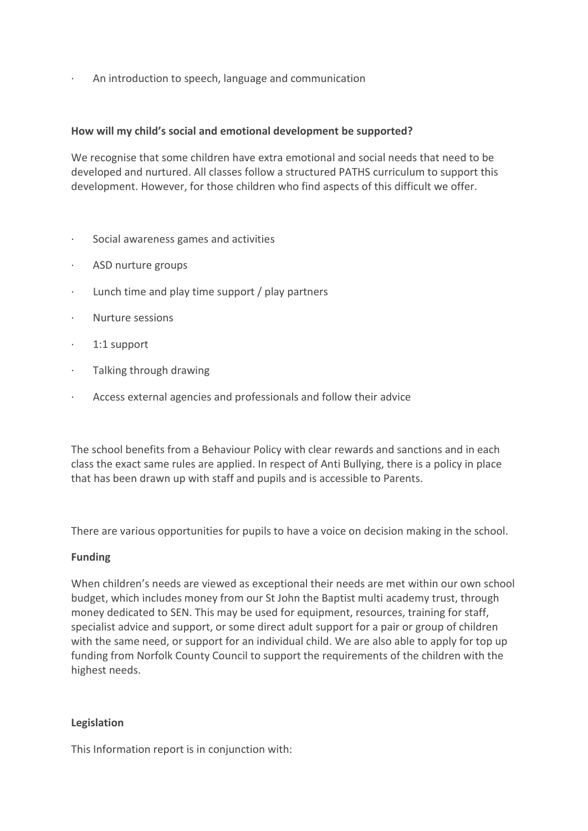An introduction to speech, language and communication

# **How will my child's social and emotional development be supported?**

We recognise that some children have extra emotional and social needs that need to be developed and nurtured. All classes follow a structured PATHS curriculum to support this development. However, for those children who find aspects of this difficult we offer.

- · Social awareness games and activities
- ASD nurture groups
- · Lunch time and play time support / play partners
- · Nurture sessions
- · 1:1 support
- · Talking through drawing
- · Access external agencies and professionals and follow their advice

The school benefits from a Behaviour Policy with clear rewards and sanctions and in each class the exact same rules are applied. In respect of Anti Bullying, there is a policy in place that has been drawn up with staff and pupils and is accessible to Parents.

There are various opportunities for pupils to have a voice on decision making in the school.

# **Funding**

When children's needs are viewed as exceptional their needs are met within our own school budget, which includes money from our St John the Baptist multi academy trust, through money dedicated to SEN. This may be used for equipment, resources, training for staff, specialist advice and support, or some direct adult support for a pair or group of children with the same need, or support for an individual child. We are also able to apply for top up funding from Norfolk County Council to support the requirements of the children with the highest needs.

# **Legislation**

This Information report is in conjunction with: